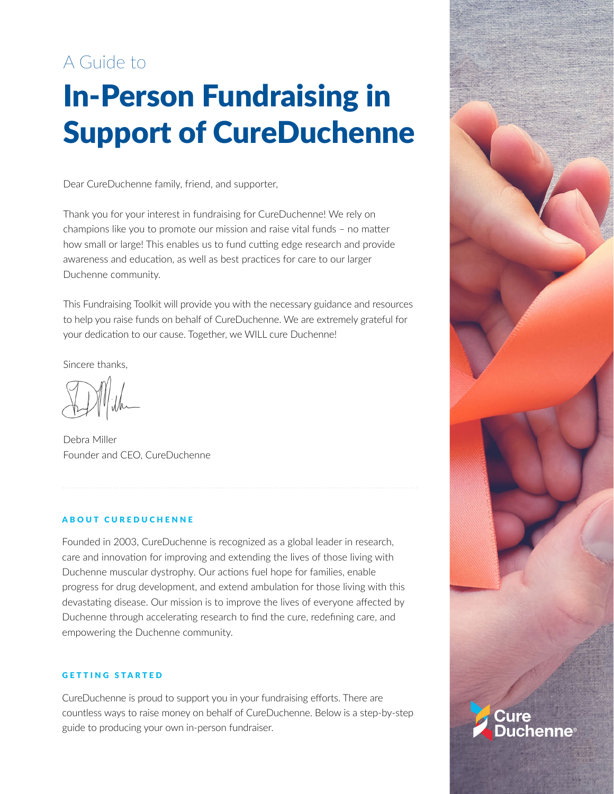# A Guide to

# In-Person Fundraising in Support of CureDuchenne

Dear CureDuchenne family, friend, and supporter,

Thank you for your interest in fundraising for CureDuchenne! We rely on champions like you to promote our mission and raise vital funds – no matter how small or large! This enables us to fund cutting edge research and provide awareness and education, as well as best practices for care to our larger Duchenne community.

This Fundraising Toolkit will provide you with the necessary guidance and resources to help you raise funds on behalf of CureDuchenne. We are extremely grateful for your dedication to our cause. Together, we WILL cure Duchenne!

Sincere thanks,

Debra Miller Founder and CEO, CureDuchenne

# ABOUT CUREDUCHENNE

Founded in 2003, CureDuchenne is recognized as a global leader in research, care and innovation for improving and extending the lives of those living with Duchenne muscular dystrophy. Our actions fuel hope for families, enable progress for drug development, and extend ambulation for those living with this devastating disease. Our mission is to improve the lives of everyone affected by Duchenne through accelerating research to find the cure, redefining care, and empowering the Duchenne community.

#### GETTING STARTED

CureDuchenne is proud to support you in your fundraising efforts. There are countless ways to raise money on behalf of CureDuchenne. Below is a step-by-step guide to producing your own in-person fundraiser.

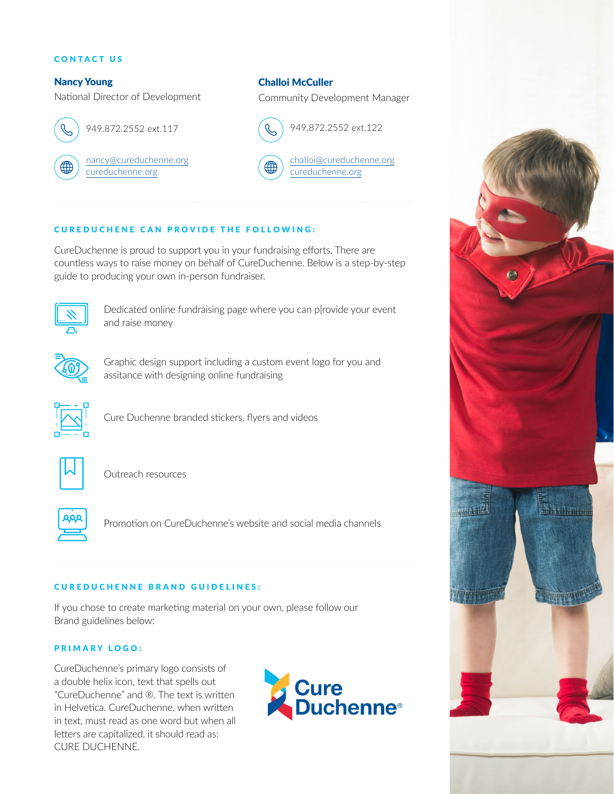#### CONTACT US

# Nancy Young

National Director of Development



949.872.2552 ext.117

[nancy@cureduchenne.org](mailto:nancy%40cureduchenne.org?subject=) [cureduchenne.org](http://cureduchenne.org)

Challoi McCuller

Community Development Manager



[challoi@cureduchenne.org](mailto:challoi%40cureduchenne.org?subject=)

[cureduchenne.org](http://cureduchenne.org)

### CUREDUCHENE CAN PROVIDE THE FOLLOWING:

CureDuchenne is proud to support you in your fundraising efforts. There are countless ways to raise money on behalf of CureDuchenne. Below is a step-by-step guide to producing your own in-person fundraiser.



Dedicated online fundraising page where you can p[rovide your event and raise money



Graphic design support including a custom event logo for you and assitance with designing online fundraising



Cure Duchenne branded stickers, flyers and videos



Outreach resources



Promotion on CureDuchenne's website and social media channels

# CUREDUCHENNE BRAND GUIDELINES:

If you chose to create marketing material on your own, please follow our Brand guidelines below:

# PRIMARY LOGO:

CureDuchenne's primary logo consists of a double helix icon, text that spells out "CureDuchenne" and ®. The text is written in Helvetica. CureDuchenne, when written in text, must read as one word but when all letters are capitalized, it should read as: CURE DUCHENNE.